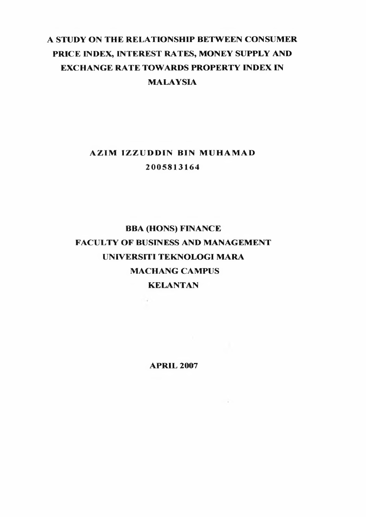## A STUDY ON THE RELATIONSHIP BETWEEN CONSUMER PRICE INDEX, INTEREST RATES, MONEY SUPPLY AND EXCHANGE RATE TOWARDS PROPERTY INDEX IN MALAYSIA

## **AZIM IZZUDDIN BIN MUHAMAD** 2 0 0 5 8 1 3 1 6 4

# BBA (HONS) FINANCE FACULTY OF BUSINESS AND MANAGEMENT UNIVERSITI TEKNOLOGI MARA **MACHANG CAMPUS** KELANTAN

**CALL** 

**APRIL 2007**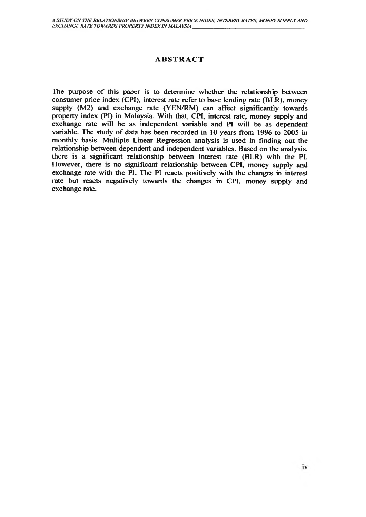#### **ABSTRACT**

The purpose of this paper is to determine whether the relationship between consumer price index (CPI), interest rate refer to base lending rate (BLR), money supply (M2) and exchange rate (YEN/RM) can affect significantly towards property index (PI) in Malaysia. With that, CPI, interest rate, money supply and exchange rate will be as independent variable and PI will be as dependent variable. The study of data has been recorded in 10 years from 1996 to 2005 in monthly basis. Multiple Linear Regression analysis is used in finding out the relationship between dependent and independent variables. Based on the analysis, there is a significant relationship between interest rate (BLR) with the PI. However, there is no significant relationship between CPI, money supply and exchange rate with the PI. The PI reacts positively with the changes in interest rate but reacts negatively towards the changes in CPI, money supply and exchange rate.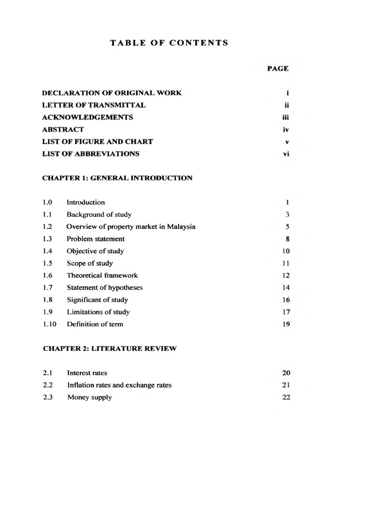## **TABLE OF CONTENTS**

| DECLARATION OF ORIGINAL WORK    |     |
|---------------------------------|-----|
| <b>LETTER OF TRANSMITTAL</b>    | ij  |
| <b>ACKNOWLEDGEMENTS</b>         | iii |
| <b>ABSTRACT</b>                 | iv  |
| <b>LIST OF FIGURE AND CHART</b> | v   |
| <b>LIST OF ABBREVIATIONS</b>    |     |

#### **CHAPTER I: GENERAL INTRODUCTION**

| 1.0  | Introduction                            |    |
|------|-----------------------------------------|----|
| 1.1  | Background of study                     | 3  |
| 1.2  | Overview of property market in Malaysia | 5  |
| 1.3  | Problem statement                       | 8  |
| 1.4  | Objective of study                      | 10 |
| 1.5  | Scope of study                          | 11 |
| 1.6  | Theoretical framework                   | 12 |
| 1.7  | Statement of hypotheses                 | 14 |
| 1.8  | Significant of study                    | 16 |
| 1.9  | Limitations of study                    | 17 |
| 1.10 | Definition of term                      | 19 |

#### **CHAPTER 2: LITERATURE REVIEW**

| 2.1 | Interest rates                     | 20 |
|-----|------------------------------------|----|
| 2.2 | Inflation rates and exchange rates | 21 |
| 2.3 | Money supply                       | 22 |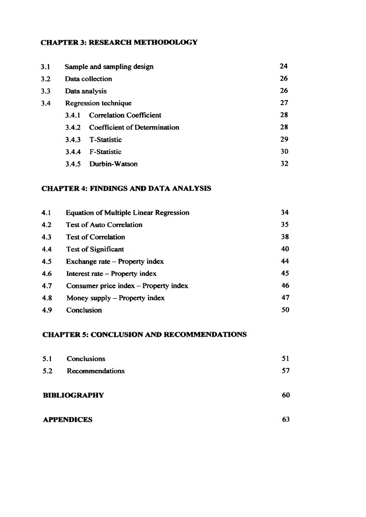### **CHAPTER 3: RESEARCH METHODOLOGY**

| 3.1 | Sample and sampling design |                                | 24 |
|-----|----------------------------|--------------------------------|----|
| 3.2 | Data collection            |                                | 26 |
| 3.3 | Data analysis              |                                | 26 |
| 3.4 |                            | Regression technique           | 27 |
|     | 3.4.1                      | <b>Correlation Coefficient</b> | 28 |
|     | 342                        | Coefficient of Determination   | 28 |
|     | 3.4.3                      | <b>T-Statistic</b>             | 29 |
|     | 3.4.4                      | F-Statistic                    | 30 |
|     | 3.4.5                      | Durbin-Watson                  | 32 |
|     |                            |                                |    |

### **CHAPTER 4: FINDINGS AND DATA ANALYSIS**

| 4.1 | <b>Equation of Multiple Linear Regression</b> | 34 |
|-----|-----------------------------------------------|----|
| 4.2 | <b>Test of Auto Correlation</b>               | 35 |
| 4.3 | <b>Test of Correlation</b>                    | 38 |
| 4.4 | <b>Test of Significant</b>                    | 40 |
| 4.5 | Exchange rate – Property index                | 44 |
| 4.6 | Interest rate - Property index                | 45 |
| 4.7 | Consumer price index - Property index         | 46 |
| 4.8 | Money supply - Property index                 | 47 |
| 4.9 | Conclusion                                    | 50 |

#### **CHAPTER 5: CONCLUSION AND RECOMMENDATIONS**

| 5.1 | Conclusions         | 51 |
|-----|---------------------|----|
| 5.2 | Recommendations     | 57 |
|     | <b>BIBLIOGRAPHY</b> | 60 |
|     | <b>APPENDICES</b>   | 63 |